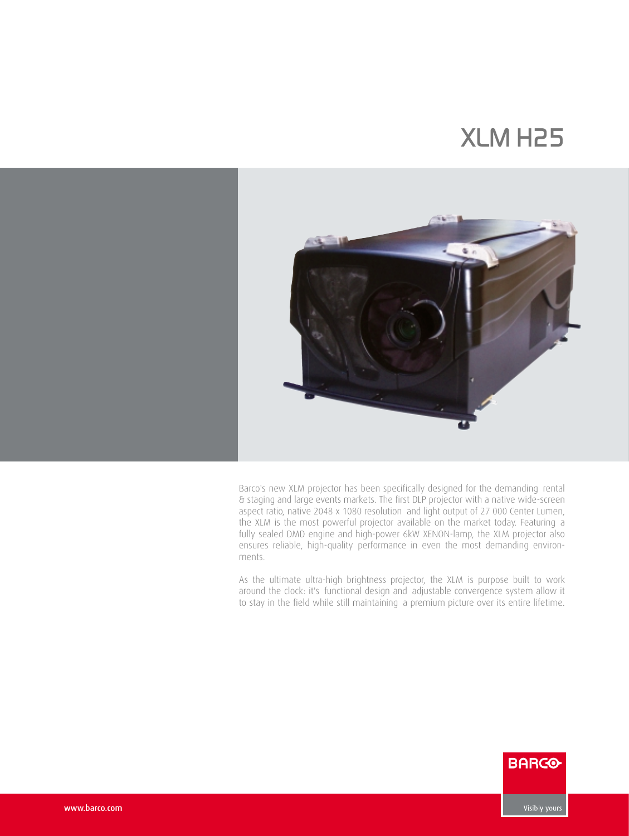## *XLM H25*



Barco's new XLM projector has been specifically designed for the demanding rental & staging and large events markets. The first DLP projector with a native wide-screen aspect ratio, native 2048 x 1080 resolution and light output of 27 000 Center Lumen, the XLM is the most powerful projector available on the market today. Featuring a fully sealed DMD engine and high-power 6kW XENON-lamp, the XLM projector also ensures reliable, high-quality performance in even the most demanding environments.

As the ultimate ultra-high brightness projector, the XLM is purpose built to work around the clock: it's functional design and adjustable convergence system allow it to stay in the field while still maintaining a premium picture over its entire lifetime.